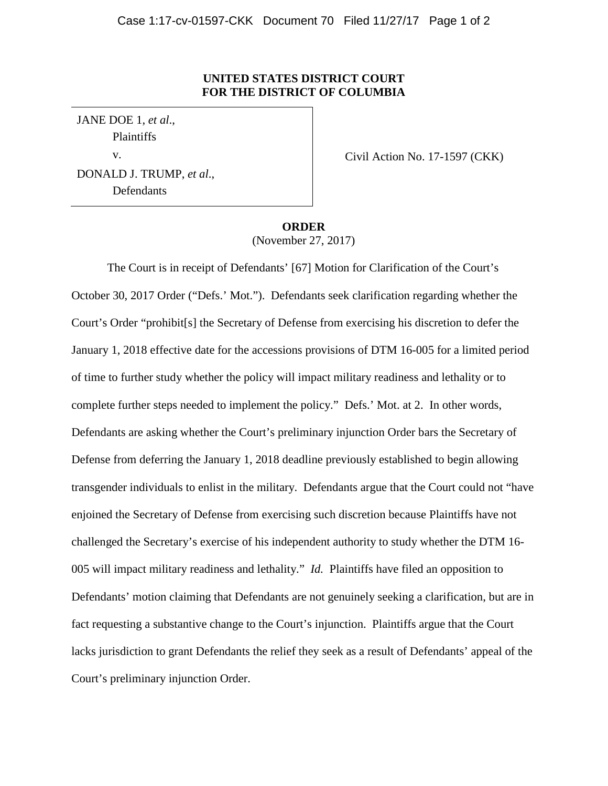## **UNITED STATES DISTRICT COURT FOR THE DISTRICT OF COLUMBIA**

JANE DOE 1, *et al*., Plaintiffs v. DONALD J. TRUMP, *et al*., **Defendants** 

Civil Action No. 17-1597 (CKK)

## **ORDER** (November 27, 2017)

 The Court is in receipt of Defendants' [67] Motion for Clarification of the Court's October 30, 2017 Order ("Defs.' Mot."). Defendants seek clarification regarding whether the Court's Order "prohibit[s] the Secretary of Defense from exercising his discretion to defer the January 1, 2018 effective date for the accessions provisions of DTM 16-005 for a limited period of time to further study whether the policy will impact military readiness and lethality or to complete further steps needed to implement the policy." Defs.' Mot. at 2. In other words, Defendants are asking whether the Court's preliminary injunction Order bars the Secretary of Defense from deferring the January 1, 2018 deadline previously established to begin allowing transgender individuals to enlist in the military. Defendants argue that the Court could not "have enjoined the Secretary of Defense from exercising such discretion because Plaintiffs have not challenged the Secretary's exercise of his independent authority to study whether the DTM 16- 005 will impact military readiness and lethality." *Id.* Plaintiffs have filed an opposition to Defendants' motion claiming that Defendants are not genuinely seeking a clarification, but are in fact requesting a substantive change to the Court's injunction. Plaintiffs argue that the Court lacks jurisdiction to grant Defendants the relief they seek as a result of Defendants' appeal of the Court's preliminary injunction Order.